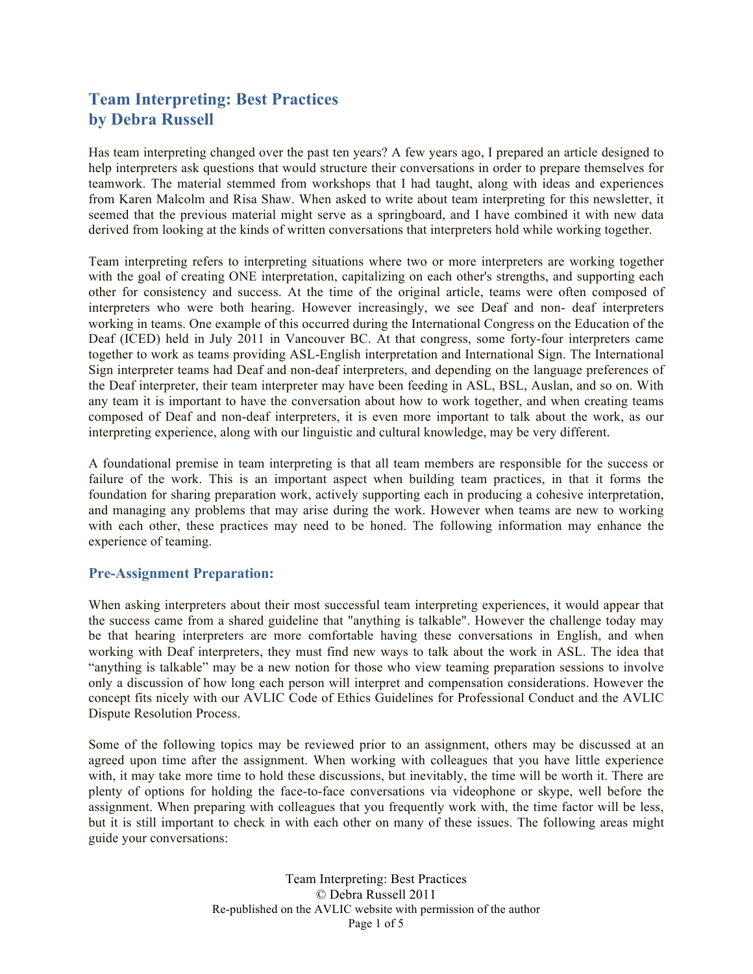# **Team Interpreting: Best Practices by Debra Russell**

Has team interpreting changed over the past ten years? A few years ago, I prepared an article designed to help interpreters ask questions that would structure their conversations in order to prepare themselves for teamwork. The material stemmed from workshops that I had taught, along with ideas and experiences from Karen Malcolm and Risa Shaw. When asked to write about team interpreting for this newsletter, it seemed that the previous material might serve as a springboard, and I have combined it with new data derived from looking at the kinds of written conversations that interpreters hold while working together.

Team interpreting refers to interpreting situations where two or more interpreters are working together with the goal of creating ONE interpretation, capitalizing on each other's strengths, and supporting each other for consistency and success. At the time of the original article, teams were often composed of interpreters who were both hearing. However increasingly, we see Deaf and non- deaf interpreters working in teams. One example of this occurred during the International Congress on the Education of the Deaf (ICED) held in July 2011 in Vancouver BC. At that congress, some forty-four interpreters came together to work as teams providing ASL-English interpretation and International Sign. The International Sign interpreter teams had Deaf and non-deaf interpreters, and depending on the language preferences of the Deaf interpreter, their team interpreter may have been feeding in ASL, BSL, Auslan, and so on. With any team it is important to have the conversation about how to work together, and when creating teams composed of Deaf and non-deaf interpreters, it is even more important to talk about the work, as our interpreting experience, along with our linguistic and cultural knowledge, may be very different.

A foundational premise in team interpreting is that all team members are responsible for the success or failure of the work. This is an important aspect when building team practices, in that it forms the foundation for sharing preparation work, actively supporting each in producing a cohesive interpretation, and managing any problems that may arise during the work. However when teams are new to working with each other, these practices may need to be honed. The following information may enhance the experience of teaming.

### **Pre-Assignment Preparation:**

When asking interpreters about their most successful team interpreting experiences, it would appear that the success came from a shared guideline that "anything is talkable". However the challenge today may be that hearing interpreters are more comfortable having these conversations in English, and when working with Deaf interpreters, they must find new ways to talk about the work in ASL. The idea that "anything is talkable" may be a new notion for those who view teaming preparation sessions to involve only a discussion of how long each person will interpret and compensation considerations. However the concept fits nicely with our AVLIC Code of Ethics Guidelines for Professional Conduct and the AVLIC Dispute Resolution Process.

Some of the following topics may be reviewed prior to an assignment, others may be discussed at an agreed upon time after the assignment. When working with colleagues that you have little experience with, it may take more time to hold these discussions, but inevitably, the time will be worth it. There are plenty of options for holding the face-to-face conversations via videophone or skype, well before the assignment. When preparing with colleagues that you frequently work with, the time factor will be less, but it is still important to check in with each other on many of these issues. The following areas might guide your conversations:

> Team Interpreting: Best Practices © Debra Russell 2011 Re-published on the AVLIC website with permission of the author Page 1 of 5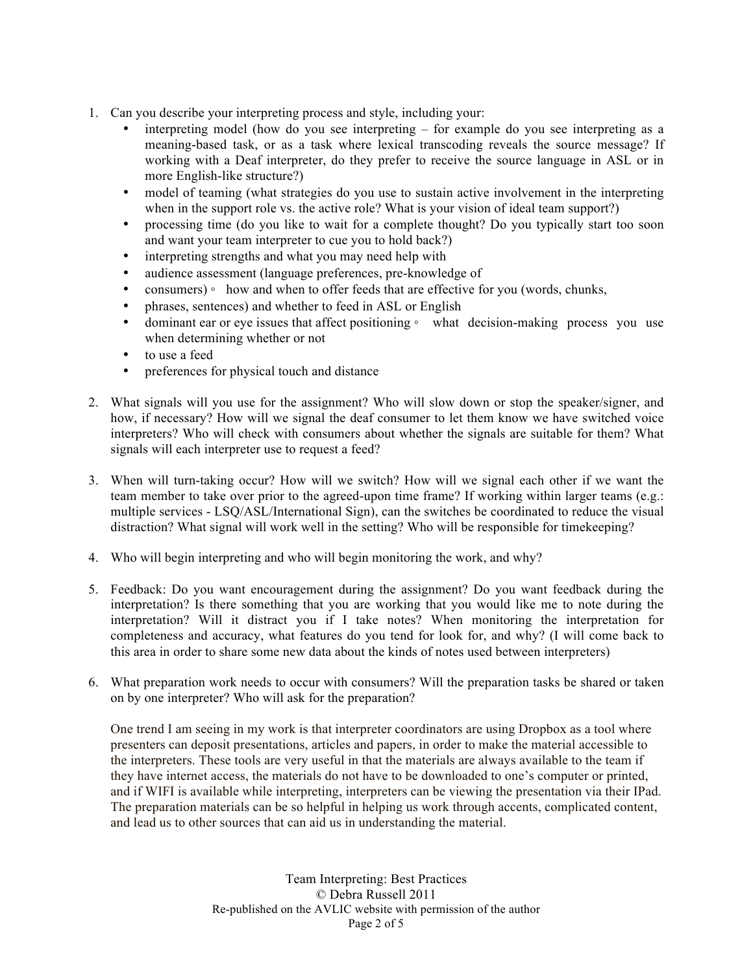- 1. Can you describe your interpreting process and style, including your:
	- interpreting model (how do you see interpreting for example do you see interpreting as a meaning-based task, or as a task where lexical transcoding reveals the source message? If working with a Deaf interpreter, do they prefer to receive the source language in ASL or in more English-like structure?)
	- model of teaming (what strategies do you use to sustain active involvement in the interpreting when in the support role vs. the active role? What is your vision of ideal team support?)
	- processing time (do you like to wait for a complete thought? Do you typically start too soon and want your team interpreter to cue you to hold back?)
	- interpreting strengths and what you may need help with
	- audience assessment (language preferences, pre-knowledge of
	- consumers) how and when to offer feeds that are effective for you (words, chunks,
	- phrases, sentences) and whether to feed in ASL or English
	- dominant ear or eye issues that affect positioning ∘ what decision-making process you use when determining whether or not
	- to use a feed
	- preferences for physical touch and distance
- 2. What signals will you use for the assignment? Who will slow down or stop the speaker/signer, and how, if necessary? How will we signal the deaf consumer to let them know we have switched voice interpreters? Who will check with consumers about whether the signals are suitable for them? What signals will each interpreter use to request a feed?
- 3. When will turn-taking occur? How will we switch? How will we signal each other if we want the team member to take over prior to the agreed-upon time frame? If working within larger teams (e.g.: multiple services - LSQ/ASL/International Sign), can the switches be coordinated to reduce the visual distraction? What signal will work well in the setting? Who will be responsible for timekeeping?
- 4. Who will begin interpreting and who will begin monitoring the work, and why?
- 5. Feedback: Do you want encouragement during the assignment? Do you want feedback during the interpretation? Is there something that you are working that you would like me to note during the interpretation? Will it distract you if I take notes? When monitoring the interpretation for completeness and accuracy, what features do you tend for look for, and why? (I will come back to this area in order to share some new data about the kinds of notes used between interpreters)
- 6. What preparation work needs to occur with consumers? Will the preparation tasks be shared or taken on by one interpreter? Who will ask for the preparation?

One trend I am seeing in my work is that interpreter coordinators are using Dropbox as a tool where presenters can deposit presentations, articles and papers, in order to make the material accessible to the interpreters. These tools are very useful in that the materials are always available to the team if they have internet access, the materials do not have to be downloaded to one's computer or printed, and if WIFI is available while interpreting, interpreters can be viewing the presentation via their IPad. The preparation materials can be so helpful in helping us work through accents, complicated content, and lead us to other sources that can aid us in understanding the material.

> Team Interpreting: Best Practices © Debra Russell 2011 Re-published on the AVLIC website with permission of the author Page 2 of 5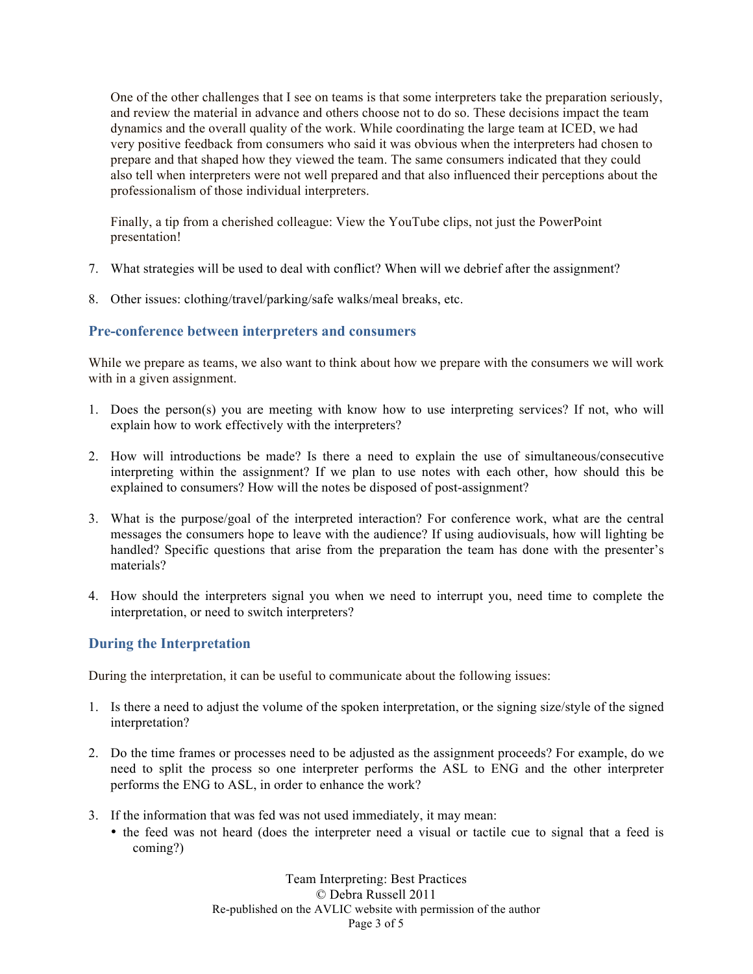One of the other challenges that I see on teams is that some interpreters take the preparation seriously, and review the material in advance and others choose not to do so. These decisions impact the team dynamics and the overall quality of the work. While coordinating the large team at ICED, we had very positive feedback from consumers who said it was obvious when the interpreters had chosen to prepare and that shaped how they viewed the team. The same consumers indicated that they could also tell when interpreters were not well prepared and that also influenced their perceptions about the professionalism of those individual interpreters.

Finally, a tip from a cherished colleague: View the YouTube clips, not just the PowerPoint presentation!

- 7. What strategies will be used to deal with conflict? When will we debrief after the assignment?
- 8. Other issues: clothing/travel/parking/safe walks/meal breaks, etc.

### **Pre-conference between interpreters and consumers**

While we prepare as teams, we also want to think about how we prepare with the consumers we will work with in a given assignment.

- 1. Does the person(s) you are meeting with know how to use interpreting services? If not, who will explain how to work effectively with the interpreters?
- 2. How will introductions be made? Is there a need to explain the use of simultaneous/consecutive interpreting within the assignment? If we plan to use notes with each other, how should this be explained to consumers? How will the notes be disposed of post-assignment?
- 3. What is the purpose/goal of the interpreted interaction? For conference work, what are the central messages the consumers hope to leave with the audience? If using audiovisuals, how will lighting be handled? Specific questions that arise from the preparation the team has done with the presenter's materials?
- 4. How should the interpreters signal you when we need to interrupt you, need time to complete the interpretation, or need to switch interpreters?

# **During the Interpretation**

During the interpretation, it can be useful to communicate about the following issues:

- 1. Is there a need to adjust the volume of the spoken interpretation, or the signing size/style of the signed interpretation?
- 2. Do the time frames or processes need to be adjusted as the assignment proceeds? For example, do we need to split the process so one interpreter performs the ASL to ENG and the other interpreter performs the ENG to ASL, in order to enhance the work?
- 3. If the information that was fed was not used immediately, it may mean:
	- the feed was not heard (does the interpreter need a visual or tactile cue to signal that a feed is coming?)

Team Interpreting: Best Practices © Debra Russell 2011 Re-published on the AVLIC website with permission of the author Page 3 of 5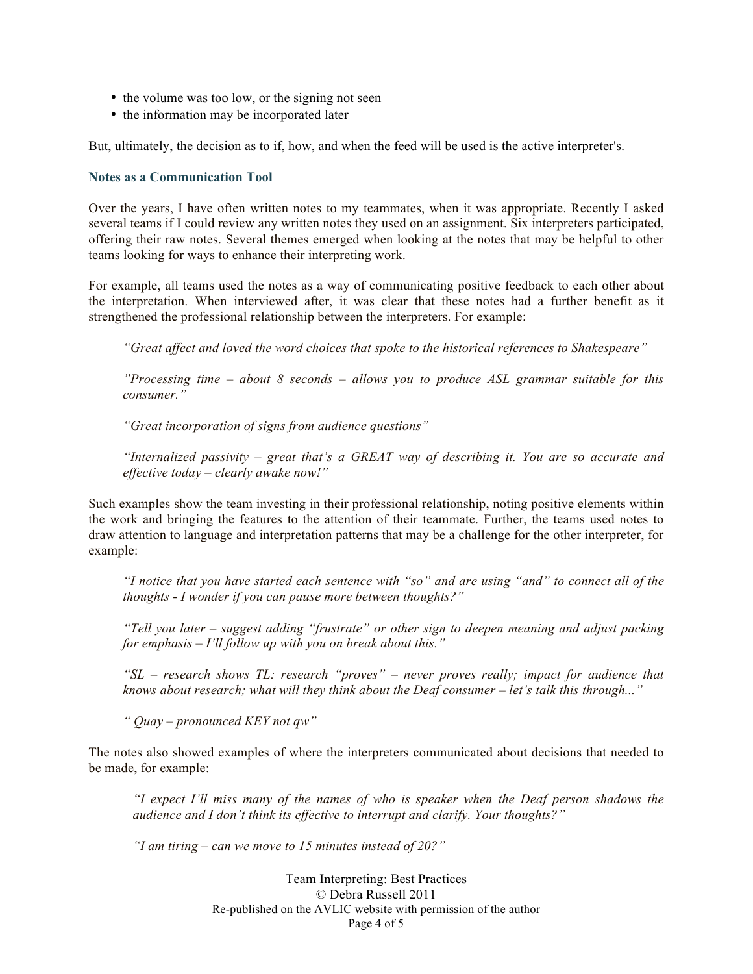- the volume was too low, or the signing not seen
- the information may be incorporated later

But, ultimately, the decision as to if, how, and when the feed will be used is the active interpreter's.

#### **Notes as a Communication Tool**

Over the years, I have often written notes to my teammates, when it was appropriate. Recently I asked several teams if I could review any written notes they used on an assignment. Six interpreters participated, offering their raw notes. Several themes emerged when looking at the notes that may be helpful to other teams looking for ways to enhance their interpreting work.

For example, all teams used the notes as a way of communicating positive feedback to each other about the interpretation. When interviewed after, it was clear that these notes had a further benefit as it strengthened the professional relationship between the interpreters. For example:

*"Great affect and loved the word choices that spoke to the historical references to Shakespeare"*

*"Processing time – about 8 seconds – allows you to produce ASL grammar suitable for this consumer."*

*"Great incorporation of signs from audience questions"*

*"Internalized passivity – great that's a GREAT way of describing it. You are so accurate and effective today – clearly awake now!"*

Such examples show the team investing in their professional relationship, noting positive elements within the work and bringing the features to the attention of their teammate. Further, the teams used notes to draw attention to language and interpretation patterns that may be a challenge for the other interpreter, for example:

*"I notice that you have started each sentence with "so" and are using "and" to connect all of the thoughts - I wonder if you can pause more between thoughts?"*

*"Tell you later – suggest adding "frustrate" or other sign to deepen meaning and adjust packing for emphasis – I'll follow up with you on break about this."*

*"SL – research shows TL: research "proves" – never proves really; impact for audience that knows about research; what will they think about the Deaf consumer – let's talk this through..."*

*" Quay – pronounced KEY not qw"*

The notes also showed examples of where the interpreters communicated about decisions that needed to be made, for example:

*"I expect I'll miss many of the names of who is speaker when the Deaf person shadows the audience and I don't think its effective to interrupt and clarify. Your thoughts?"*

*"I am tiring – can we move to 15 minutes instead of 20?"*

Team Interpreting: Best Practices © Debra Russell 2011 Re-published on the AVLIC website with permission of the author Page 4 of 5